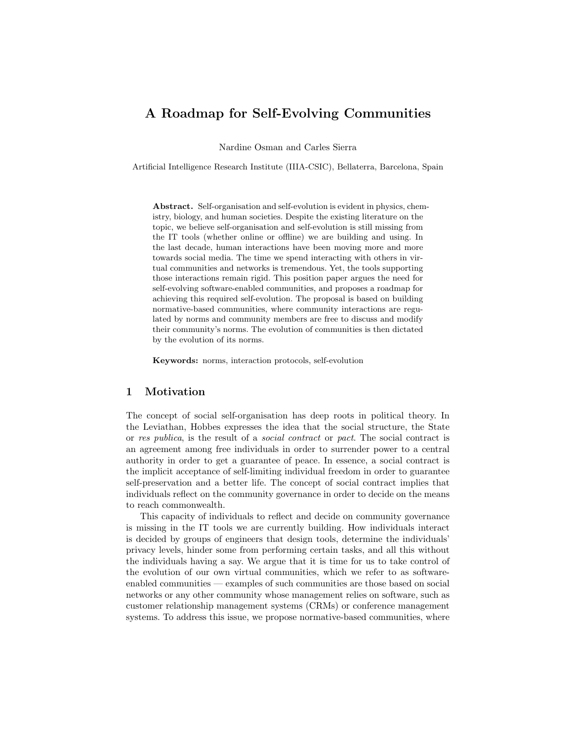# A Roadmap for Self-Evolving Communities

Nardine Osman and Carles Sierra

Artificial Intelligence Research Institute (IIIA-CSIC), Bellaterra, Barcelona, Spain

Abstract. Self-organisation and self-evolution is evident in physics, chemistry, biology, and human societies. Despite the existing literature on the topic, we believe self-organisation and self-evolution is still missing from the IT tools (whether online or offline) we are building and using. In the last decade, human interactions have been moving more and more towards social media. The time we spend interacting with others in virtual communities and networks is tremendous. Yet, the tools supporting those interactions remain rigid. This position paper argues the need for self-evolving software-enabled communities, and proposes a roadmap for achieving this required self-evolution. The proposal is based on building normative-based communities, where community interactions are regulated by norms and community members are free to discuss and modify their community's norms. The evolution of communities is then dictated by the evolution of its norms.

Keywords: norms, interaction protocols, self-evolution

# 1 Motivation

The concept of social self-organisation has deep roots in political theory. In the Leviathan, Hobbes expresses the idea that the social structure, the State or res publica, is the result of a social contract or pact. The social contract is an agreement among free individuals in order to surrender power to a central authority in order to get a guarantee of peace. In essence, a social contract is the implicit acceptance of self-limiting individual freedom in order to guarantee self-preservation and a better life. The concept of social contract implies that individuals reflect on the community governance in order to decide on the means to reach commonwealth.

This capacity of individuals to reflect and decide on community governance is missing in the IT tools we are currently building. How individuals interact is decided by groups of engineers that design tools, determine the individuals' privacy levels, hinder some from performing certain tasks, and all this without the individuals having a say. We argue that it is time for us to take control of the evolution of our own virtual communities, which we refer to as softwareenabled communities — examples of such communities are those based on social networks or any other community whose management relies on software, such as customer relationship management systems (CRMs) or conference management systems. To address this issue, we propose normative-based communities, where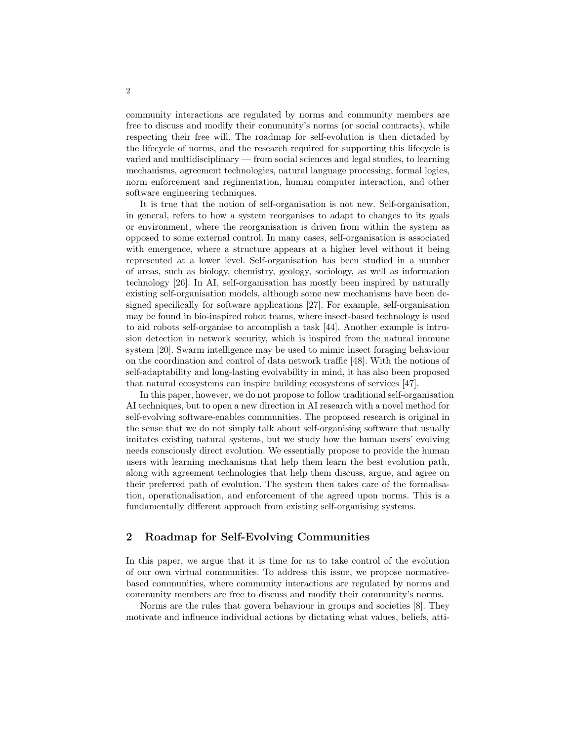community interactions are regulated by norms and community members are free to discuss and modify their community's norms (or social contracts), while respecting their free will. The roadmap for self-evolution is then dictaded by the lifecycle of norms, and the research required for supporting this lifecycle is varied and multidisciplinary — from social sciences and legal studies, to learning mechanisms, agreement technologies, natural language processing, formal logics, norm enforcement and regimentation, human computer interaction, and other software engineering techniques.

It is true that the notion of self-organisation is not new. Self-organisation, in general, refers to how a system reorganises to adapt to changes to its goals or environment, where the reorganisation is driven from within the system as opposed to some external control. In many cases, self-organisation is associated with emergence, where a structure appears at a higher level without it being represented at a lower level. Self-organisation has been studied in a number of areas, such as biology, chemistry, geology, sociology, as well as information technology [26]. In AI, self-organisation has mostly been inspired by naturally existing self-organisation models, although some new mechanisms have been designed specifically for software applications [27]. For example, self-organisation may be found in bio-inspired robot teams, where insect-based technology is used to aid robots self-organise to accomplish a task [44]. Another example is intrusion detection in network security, which is inspired from the natural immune system [20]. Swarm intelligence may be used to mimic insect foraging behaviour on the coordination and control of data network traffic [48]. With the notions of self-adaptability and long-lasting evolvability in mind, it has also been proposed that natural ecosystems can inspire building ecosystems of services [47].

In this paper, however, we do not propose to follow traditional self-organisation AI techniques, but to open a new direction in AI research with a novel method for self-evolving software-enables communities. The proposed research is original in the sense that we do not simply talk about self-organising software that usually imitates existing natural systems, but we study how the human users' evolving needs consciously direct evolution. We essentially propose to provide the human users with learning mechanisms that help them learn the best evolution path, along with agreement technologies that help them discuss, argue, and agree on their preferred path of evolution. The system then takes care of the formalisation, operationalisation, and enforcement of the agreed upon norms. This is a fundamentally different approach from existing self-organising systems.

# 2 Roadmap for Self-Evolving Communities

In this paper, we argue that it is time for us to take control of the evolution of our own virtual communities. To address this issue, we propose normativebased communities, where community interactions are regulated by norms and community members are free to discuss and modify their community's norms.

Norms are the rules that govern behaviour in groups and societies [8]. They motivate and influence individual actions by dictating what values, beliefs, atti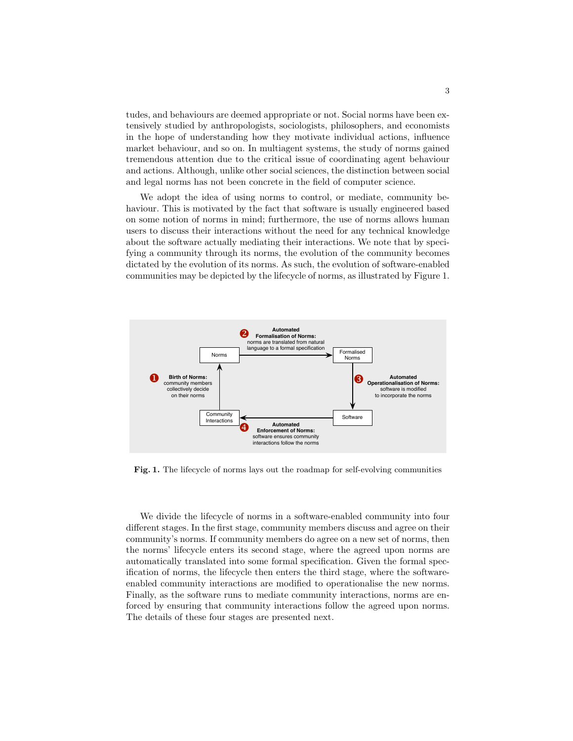tudes, and behaviours are deemed appropriate or not. Social norms have been extensively studied by anthropologists, sociologists, philosophers, and economists in the hope of understanding how they motivate individual actions, influence market behaviour, and so on. In multiagent systems, the study of norms gained tremendous attention due to the critical issue of coordinating agent behaviour and actions. Although, unlike other social sciences, the distinction between social and legal norms has not been concrete in the field of computer science.

We adopt the idea of using norms to control, or mediate, community behaviour. This is motivated by the fact that software is usually engineered based on some notion of norms in mind; furthermore, the use of norms allows human users to discuss their interactions without the need for any technical knowledge about the software actually mediating their interactions. We note that by specifying a community through its norms, the evolution of the community becomes dictated by the evolution of its norms. As such, the evolution of software-enabled communities may be depicted by the lifecycle of norms, as illustrated by Figure 1.



Fig. 1. The lifecycle of norms lays out the roadmap for self-evolving communities

We divide the lifecycle of norms in a software-enabled community into four different stages. In the first stage, community members discuss and agree on their community's norms. If community members do agree on a new set of norms, then the norms' lifecycle enters its second stage, where the agreed upon norms are automatically translated into some formal specification. Given the formal specification of norms, the lifecycle then enters the third stage, where the softwareenabled community interactions are modified to operationalise the new norms. Finally, as the software runs to mediate community interactions, norms are enforced by ensuring that community interactions follow the agreed upon norms. The details of these four stages are presented next.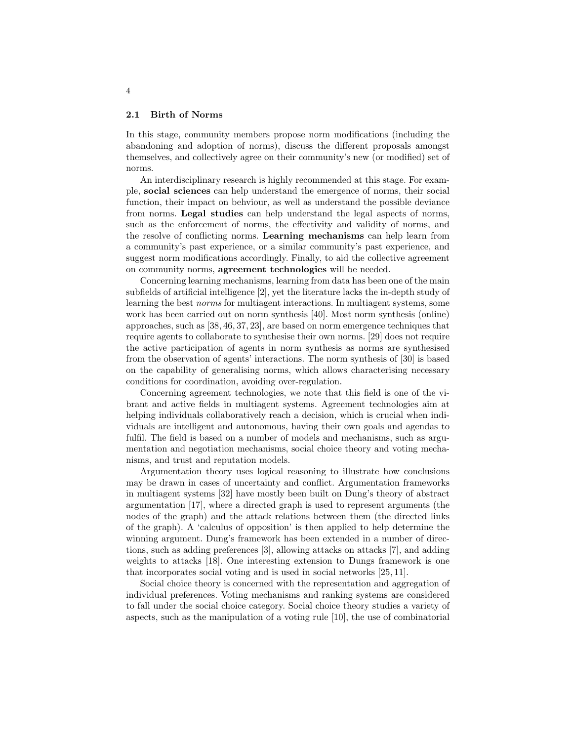#### 2.1 Birth of Norms

In this stage, community members propose norm modifications (including the abandoning and adoption of norms), discuss the different proposals amongst themselves, and collectively agree on their community's new (or modified) set of norms.

An interdisciplinary research is highly recommended at this stage. For example, social sciences can help understand the emergence of norms, their social function, their impact on behviour, as well as understand the possible deviance from norms. Legal studies can help understand the legal aspects of norms, such as the enforcement of norms, the effectivity and validity of norms, and the resolve of conflicting norms. Learning mechanisms can help learn from a community's past experience, or a similar community's past experience, and suggest norm modifications accordingly. Finally, to aid the collective agreement on community norms, agreement technologies will be needed.

Concerning learning mechanisms, learning from data has been one of the main subfields of artificial intelligence [2], yet the literature lacks the in-depth study of learning the best norms for multiagent interactions. In multiagent systems, some work has been carried out on norm synthesis [40]. Most norm synthesis (online) approaches, such as [38, 46, 37, 23], are based on norm emergence techniques that require agents to collaborate to synthesise their own norms. [29] does not require the active participation of agents in norm synthesis as norms are synthesised from the observation of agents' interactions. The norm synthesis of [30] is based on the capability of generalising norms, which allows characterising necessary conditions for coordination, avoiding over-regulation.

Concerning agreement technologies, we note that this field is one of the vibrant and active fields in multiagent systems. Agreement technologies aim at helping individuals collaboratively reach a decision, which is crucial when individuals are intelligent and autonomous, having their own goals and agendas to fulfil. The field is based on a number of models and mechanisms, such as argumentation and negotiation mechanisms, social choice theory and voting mechanisms, and trust and reputation models.

Argumentation theory uses logical reasoning to illustrate how conclusions may be drawn in cases of uncertainty and conflict. Argumentation frameworks in multiagent systems [32] have mostly been built on Dung's theory of abstract argumentation [17], where a directed graph is used to represent arguments (the nodes of the graph) and the attack relations between them (the directed links of the graph). A 'calculus of opposition' is then applied to help determine the winning argument. Dung's framework has been extended in a number of directions, such as adding preferences [3], allowing attacks on attacks [7], and adding weights to attacks [18]. One interesting extension to Dungs framework is one that incorporates social voting and is used in social networks [25, 11].

Social choice theory is concerned with the representation and aggregation of individual preferences. Voting mechanisms and ranking systems are considered to fall under the social choice category. Social choice theory studies a variety of aspects, such as the manipulation of a voting rule [10], the use of combinatorial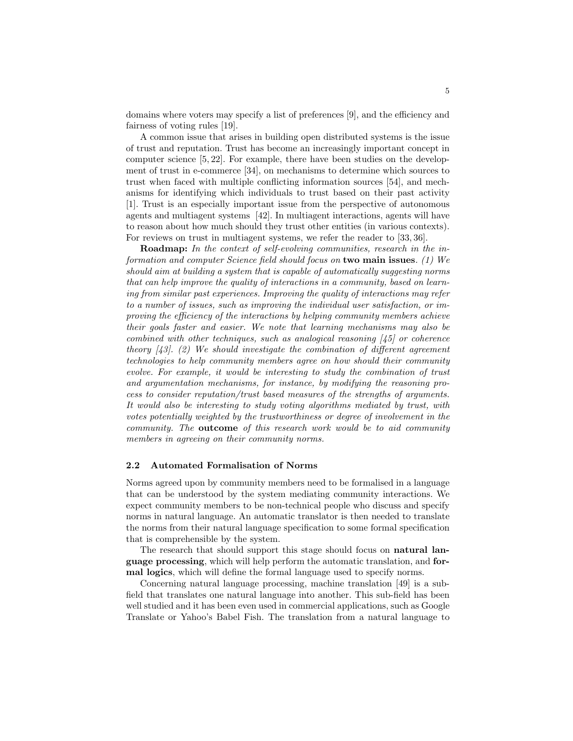domains where voters may specify a list of preferences [9], and the efficiency and fairness of voting rules [19].

A common issue that arises in building open distributed systems is the issue of trust and reputation. Trust has become an increasingly important concept in computer science [5, 22]. For example, there have been studies on the development of trust in e-commerce [34], on mechanisms to determine which sources to trust when faced with multiple conflicting information sources [54], and mechanisms for identifying which individuals to trust based on their past activity [1]. Trust is an especially important issue from the perspective of autonomous agents and multiagent systems [42]. In multiagent interactions, agents will have to reason about how much should they trust other entities (in various contexts). For reviews on trust in multiagent systems, we refer the reader to [33, 36].

Roadmap: In the context of self-evolving communities, research in the information and computer Science field should focus on two main issues. (1) We should aim at building a system that is capable of automatically suggesting norms that can help improve the quality of interactions in a community, based on learning from similar past experiences. Improving the quality of interactions may refer to a number of issues, such as improving the individual user satisfaction, or improving the efficiency of the interactions by helping community members achieve their goals faster and easier. We note that learning mechanisms may also be combined with other techniques, such as analogical reasoning [45] or coherence theory  $(43)$ . (2) We should investigate the combination of different agreement technologies to help community members agree on how should their community evolve. For example, it would be interesting to study the combination of trust and argumentation mechanisms, for instance, by modifying the reasoning process to consider reputation/trust based measures of the strengths of arguments. It would also be interesting to study voting algorithms mediated by trust, with votes potentially weighted by the trustworthiness or degree of involvement in the community. The outcome of this research work would be to aid community members in agreeing on their community norms.

## 2.2 Automated Formalisation of Norms

Norms agreed upon by community members need to be formalised in a language that can be understood by the system mediating community interactions. We expect community members to be non-technical people who discuss and specify norms in natural language. An automatic translator is then needed to translate the norms from their natural language specification to some formal specification that is comprehensible by the system.

The research that should support this stage should focus on natural language processing, which will help perform the automatic translation, and formal logics, which will define the formal language used to specify norms.

Concerning natural language processing, machine translation [49] is a subfield that translates one natural language into another. This sub-field has been well studied and it has been even used in commercial applications, such as Google Translate or Yahoo's Babel Fish. The translation from a natural language to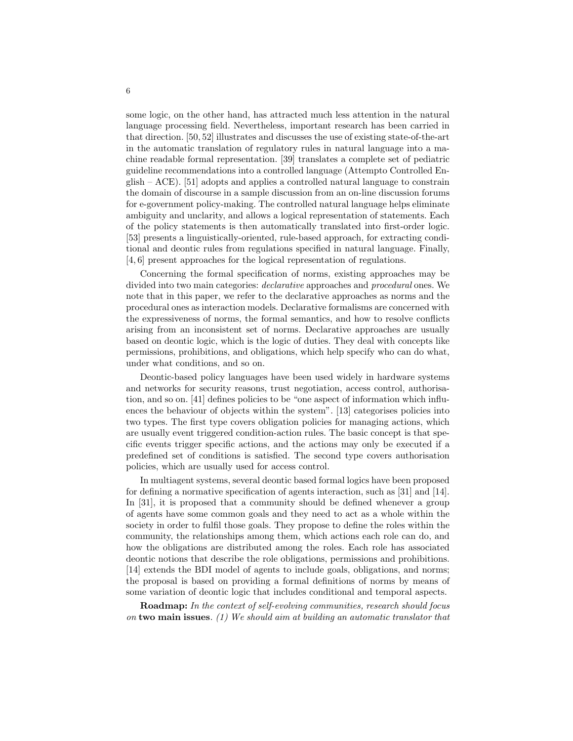some logic, on the other hand, has attracted much less attention in the natural language processing field. Nevertheless, important research has been carried in that direction. [50, 52] illustrates and discusses the use of existing state-of-the-art in the automatic translation of regulatory rules in natural language into a machine readable formal representation. [39] translates a complete set of pediatric guideline recommendations into a controlled language (Attempto Controlled English – ACE). [51] adopts and applies a controlled natural language to constrain the domain of discourse in a sample discussion from an on-line discussion forums for e-government policy-making. The controlled natural language helps eliminate ambiguity and unclarity, and allows a logical representation of statements. Each of the policy statements is then automatically translated into first-order logic. [53] presents a linguistically-oriented, rule-based approach, for extracting conditional and deontic rules from regulations specified in natural language. Finally, [4, 6] present approaches for the logical representation of regulations.

Concerning the formal specification of norms, existing approaches may be divided into two main categories: declarative approaches and procedural ones. We note that in this paper, we refer to the declarative approaches as norms and the procedural ones as interaction models. Declarative formalisms are concerned with the expressiveness of norms, the formal semantics, and how to resolve conflicts arising from an inconsistent set of norms. Declarative approaches are usually based on deontic logic, which is the logic of duties. They deal with concepts like permissions, prohibitions, and obligations, which help specify who can do what, under what conditions, and so on.

Deontic-based policy languages have been used widely in hardware systems and networks for security reasons, trust negotiation, access control, authorisation, and so on. [41] defines policies to be "one aspect of information which influences the behaviour of objects within the system". [13] categorises policies into two types. The first type covers obligation policies for managing actions, which are usually event triggered condition-action rules. The basic concept is that specific events trigger specific actions, and the actions may only be executed if a predefined set of conditions is satisfied. The second type covers authorisation policies, which are usually used for access control.

In multiagent systems, several deontic based formal logics have been proposed for defining a normative specification of agents interaction, such as [31] and [14]. In [31], it is proposed that a community should be defined whenever a group of agents have some common goals and they need to act as a whole within the society in order to fulfil those goals. They propose to define the roles within the community, the relationships among them, which actions each role can do, and how the obligations are distributed among the roles. Each role has associated deontic notions that describe the role obligations, permissions and prohibitions. [14] extends the BDI model of agents to include goals, obligations, and norms; the proposal is based on providing a formal definitions of norms by means of some variation of deontic logic that includes conditional and temporal aspects.

Roadmap: In the context of self-evolving communities, research should focus on two main issues. (1) We should aim at building an automatic translator that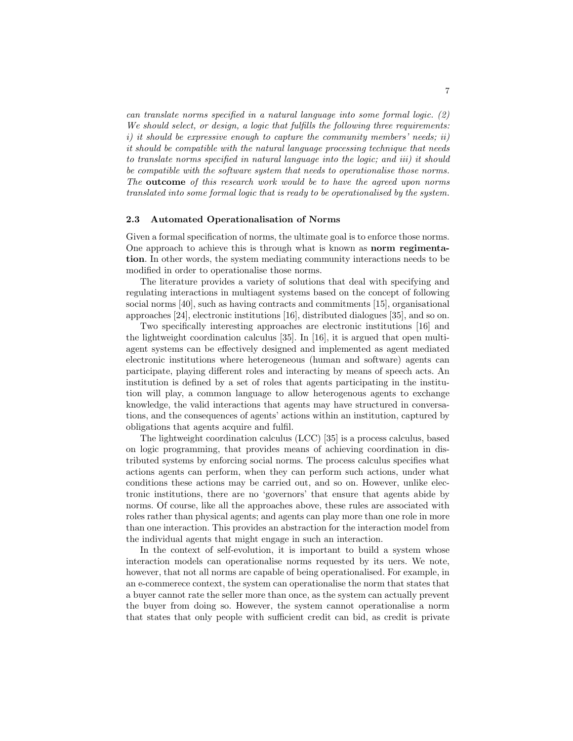can translate norms specified in a natural language into some formal logic. (2) We should select, or design, a logic that fulfills the following three requirements: i) it should be expressive enough to capture the community members' needs; ii) it should be compatible with the natural language processing technique that needs to translate norms specified in natural language into the logic; and iii) it should be compatible with the software system that needs to operationalise those norms. The outcome of this research work would be to have the agreed upon norms translated into some formal logic that is ready to be operationalised by the system.

#### 2.3 Automated Operationalisation of Norms

Given a formal specification of norms, the ultimate goal is to enforce those norms. One approach to achieve this is through what is known as norm regimentation. In other words, the system mediating community interactions needs to be modified in order to operationalise those norms.

The literature provides a variety of solutions that deal with specifying and regulating interactions in multiagent systems based on the concept of following social norms [40], such as having contracts and commitments [15], organisational approaches [24], electronic institutions [16], distributed dialogues [35], and so on.

Two specifically interesting approaches are electronic institutions [16] and the lightweight coordination calculus [35]. In [16], it is argued that open multiagent systems can be effectively designed and implemented as agent mediated electronic institutions where heterogeneous (human and software) agents can participate, playing different roles and interacting by means of speech acts. An institution is defined by a set of roles that agents participating in the institution will play, a common language to allow heterogenous agents to exchange knowledge, the valid interactions that agents may have structured in conversations, and the consequences of agents' actions within an institution, captured by obligations that agents acquire and fulfil.

The lightweight coordination calculus (LCC) [35] is a process calculus, based on logic programming, that provides means of achieving coordination in distributed systems by enforcing social norms. The process calculus specifies what actions agents can perform, when they can perform such actions, under what conditions these actions may be carried out, and so on. However, unlike electronic institutions, there are no 'governors' that ensure that agents abide by norms. Of course, like all the approaches above, these rules are associated with roles rather than physical agents; and agents can play more than one role in more than one interaction. This provides an abstraction for the interaction model from the individual agents that might engage in such an interaction.

In the context of self-evolution, it is important to build a system whose interaction models can operationalise norms requested by its uers. We note, however, that not all norms are capable of being operationalised. For example, in an e-commerece context, the system can operationalise the norm that states that a buyer cannot rate the seller more than once, as the system can actually prevent the buyer from doing so. However, the system cannot operationalise a norm that states that only people with sufficient credit can bid, as credit is private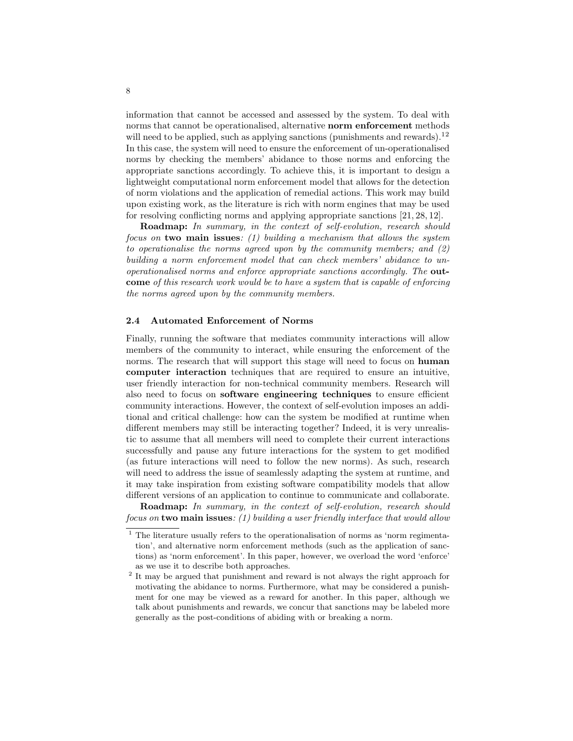information that cannot be accessed and assessed by the system. To deal with norms that cannot be operationalised, alternative **norm enforcement** methods will need to be applied, such as applying sanctions (punishments and rewards).<sup>12</sup> In this case, the system will need to ensure the enforcement of un-operationalised norms by checking the members' abidance to those norms and enforcing the appropriate sanctions accordingly. To achieve this, it is important to design a lightweight computational norm enforcement model that allows for the detection of norm violations and the application of remedial actions. This work may build upon existing work, as the literature is rich with norm engines that may be used for resolving conflicting norms and applying appropriate sanctions [21, 28, 12].

Roadmap: In summary, in the context of self-evolution, research should focus on two main issues: (1) building a mechanism that allows the system to operationalise the norms agreed upon by the community members; and (2) building a norm enforcement model that can check members' abidance to unoperationalised norms and enforce appropriate sanctions accordingly. The outcome of this research work would be to have a system that is capable of enforcing the norms agreed upon by the community members.

### 2.4 Automated Enforcement of Norms

Finally, running the software that mediates community interactions will allow members of the community to interact, while ensuring the enforcement of the norms. The research that will support this stage will need to focus on **human** computer interaction techniques that are required to ensure an intuitive, user friendly interaction for non-technical community members. Research will also need to focus on software engineering techniques to ensure efficient community interactions. However, the context of self-evolution imposes an additional and critical challenge: how can the system be modified at runtime when different members may still be interacting together? Indeed, it is very unrealistic to assume that all members will need to complete their current interactions successfully and pause any future interactions for the system to get modified (as future interactions will need to follow the new norms). As such, research will need to address the issue of seamlessly adapting the system at runtime, and it may take inspiration from existing software compatibility models that allow different versions of an application to continue to communicate and collaborate.

Roadmap: In summary, in the context of self-evolution, research should focus on two main issues: (1) building a user friendly interface that would allow

 $^{\rm 1}$  The literature usually refers to the operationalisation of norms as 'norm regimentation', and alternative norm enforcement methods (such as the application of sanctions) as 'norm enforcement'. In this paper, however, we overload the word 'enforce' as we use it to describe both approaches.

<sup>&</sup>lt;sup>2</sup> It may be argued that punishment and reward is not always the right approach for motivating the abidance to norms. Furthermore, what may be considered a punishment for one may be viewed as a reward for another. In this paper, although we talk about punishments and rewards, we concur that sanctions may be labeled more generally as the post-conditions of abiding with or breaking a norm.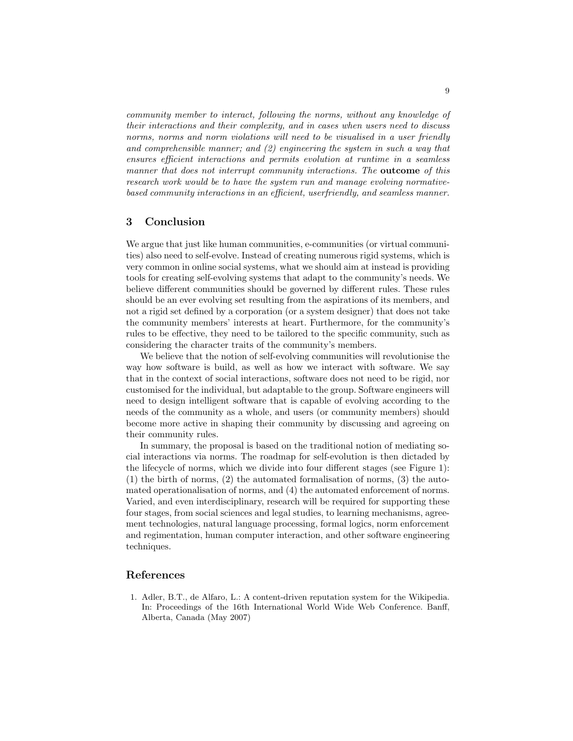community member to interact, following the norms, without any knowledge of their interactions and their complexity, and in cases when users need to discuss norms, norms and norm violations will need to be visualised in a user friendly and comprehensible manner; and  $(2)$  engineering the system in such a way that ensures efficient interactions and permits evolution at runtime in a seamless manner that does not interrupt community interactions. The **outcome** of this research work would be to have the system run and manage evolving normativebased community interactions in an efficient, userfriendly, and seamless manner.

# 3 Conclusion

We argue that just like human communities, e-communities (or virtual communities) also need to self-evolve. Instead of creating numerous rigid systems, which is very common in online social systems, what we should aim at instead is providing tools for creating self-evolving systems that adapt to the community's needs. We believe different communities should be governed by different rules. These rules should be an ever evolving set resulting from the aspirations of its members, and not a rigid set defined by a corporation (or a system designer) that does not take the community members' interests at heart. Furthermore, for the community's rules to be effective, they need to be tailored to the specific community, such as considering the character traits of the community's members.

We believe that the notion of self-evolving communities will revolutionise the way how software is build, as well as how we interact with software. We say that in the context of social interactions, software does not need to be rigid, nor customised for the individual, but adaptable to the group. Software engineers will need to design intelligent software that is capable of evolving according to the needs of the community as a whole, and users (or community members) should become more active in shaping their community by discussing and agreeing on their community rules.

In summary, the proposal is based on the traditional notion of mediating social interactions via norms. The roadmap for self-evolution is then dictaded by the lifecycle of norms, which we divide into four different stages (see Figure 1): (1) the birth of norms, (2) the automated formalisation of norms, (3) the automated operationalisation of norms, and (4) the automated enforcement of norms. Varied, and even interdisciplinary, research will be required for supporting these four stages, from social sciences and legal studies, to learning mechanisms, agreement technologies, natural language processing, formal logics, norm enforcement and regimentation, human computer interaction, and other software engineering techniques.

## References

1. Adler, B.T., de Alfaro, L.: A content-driven reputation system for the Wikipedia. In: Proceedings of the 16th International World Wide Web Conference. Banff, Alberta, Canada (May 2007)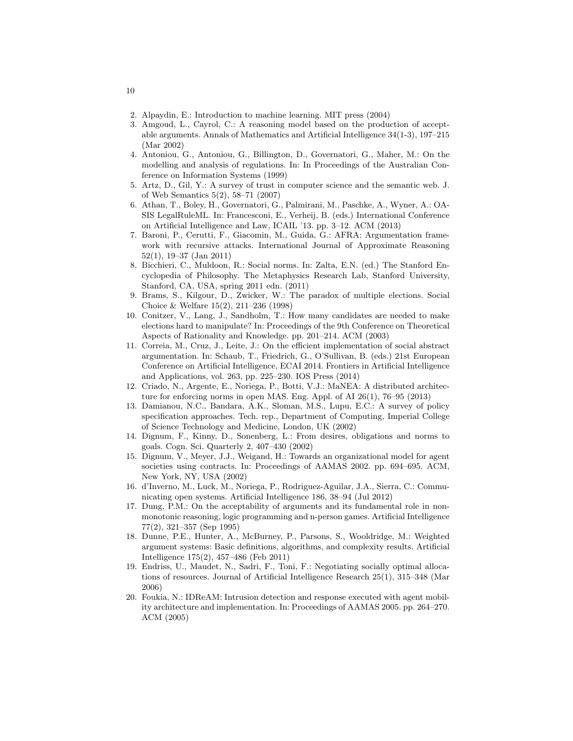- 2. Alpaydin, E.: Introduction to machine learning. MIT press (2004)
- 3. Amgoud, L., Cayrol, C.: A reasoning model based on the production of acceptable arguments. Annals of Mathematics and Artificial Intelligence 34(1-3), 197–215 (Mar 2002)
- 4. Antoniou, G., Antoniou, G., Billington, D., Governatori, G., Maher, M.: On the modelling and analysis of regulations. In: In Proceedings of the Australian Conference on Information Systems (1999)
- 5. Artz, D., Gil, Y.: A survey of trust in computer science and the semantic web. J. of Web Semantics 5(2), 58–71 (2007)
- 6. Athan, T., Boley, H., Governatori, G., Palmirani, M., Paschke, A., Wyner, A.: OA-SIS LegalRuleML. In: Francesconi, E., Verheij, B. (eds.) International Conference on Artificial Intelligence and Law, ICAIL '13. pp. 3–12. ACM (2013)
- 7. Baroni, P., Cerutti, F., Giacomin, M., Guida, G.: AFRA: Argumentation framework with recursive attacks. International Journal of Approximate Reasoning 52(1), 19–37 (Jan 2011)
- 8. Bicchieri, C., Muldoon, R.: Social norms. In: Zalta, E.N. (ed.) The Stanford Encyclopedia of Philosophy. The Metaphysics Research Lab, Stanford University, Stanford, CA, USA, spring 2011 edn. (2011)
- 9. Brams, S., Kilgour, D., Zwicker, W.: The paradox of multiple elections. Social Choice & Welfare 15(2), 211–236 (1998)
- 10. Conitzer, V., Lang, J., Sandholm, T.: How many candidates are needed to make elections hard to manipulate? In: Proceedings of the 9th Conference on Theoretical Aspects of Rationality and Knowledge. pp. 201–214. ACM (2003)
- 11. Correia, M., Cruz, J., Leite, J.: On the efficient implementation of social abstract argumentation. In: Schaub, T., Friedrich, G., O'Sullivan, B. (eds.) 21st European Conference on Artificial Intelligence, ECAI 2014. Frontiers in Artificial Intelligence and Applications, vol. 263, pp. 225–230. IOS Press (2014)
- 12. Criado, N., Argente, E., Noriega, P., Botti, V.J.: MaNEA: A distributed architecture for enforcing norms in open MAS. Eng. Appl. of AI 26(1), 76–95 (2013)
- 13. Damianou, N.C., Bandara, A.K., Sloman, M.S., Lupu, E.C.: A survey of policy specification approaches. Tech. rep., Department of Computing, Imperial College of Science Technology and Medicine, London, UK (2002)
- 14. Dignum, F., Kinny, D., Sonenberg, L.: From desires, obligations and norms to goals. Cogn. Sci. Quarterly 2, 407–430 (2002)
- 15. Dignum, V., Meyer, J.J., Weigand, H.: Towards an organizational model for agent societies using contracts. In: Proceedings of AAMAS 2002. pp. 694–695. ACM, New York, NY, USA (2002)
- 16. d'Inverno, M., Luck, M., Noriega, P., Rodriguez-Aguilar, J.A., Sierra, C.: Communicating open systems. Artificial Intelligence 186, 38–94 (Jul 2012)
- 17. Dung, P.M.: On the acceptability of arguments and its fundamental role in nonmonotonic reasoning, logic programming and n-person games. Artificial Intelligence 77(2), 321–357 (Sep 1995)
- 18. Dunne, P.E., Hunter, A., McBurney, P., Parsons, S., Wooldridge, M.: Weighted argument systems: Basic definitions, algorithms, and complexity results. Artificial Intelligence 175(2), 457–486 (Feb 2011)
- 19. Endriss, U., Maudet, N., Sadri, F., Toni, F.: Negotiating socially optimal allocations of resources. Journal of Artificial Intelligence Research 25(1), 315–348 (Mar 2006)
- 20. Foukia, N.: IDReAM: Intrusion detection and response executed with agent mobility architecture and implementation. In: Proceedings of AAMAS 2005. pp. 264–270. ACM (2005)

10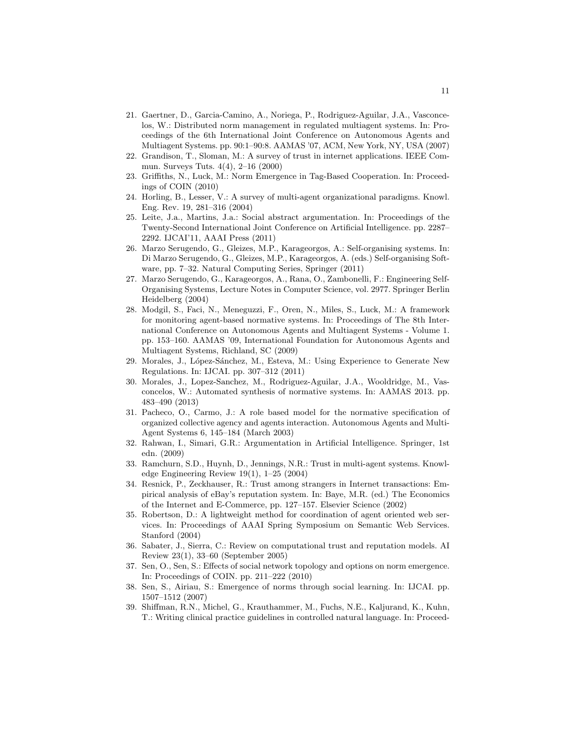- 21. Gaertner, D., Garcia-Camino, A., Noriega, P., Rodriguez-Aguilar, J.A., Vasconcelos, W.: Distributed norm management in regulated multiagent systems. In: Proceedings of the 6th International Joint Conference on Autonomous Agents and Multiagent Systems. pp. 90:1–90:8. AAMAS '07, ACM, New York, NY, USA (2007)
- 22. Grandison, T., Sloman, M.: A survey of trust in internet applications. IEEE Commun. Surveys Tuts. 4(4), 2–16 (2000)
- 23. Griffiths, N., Luck, M.: Norm Emergence in Tag-Based Cooperation. In: Proceedings of COIN (2010)
- 24. Horling, B., Lesser, V.: A survey of multi-agent organizational paradigms. Knowl. Eng. Rev. 19, 281–316 (2004)
- 25. Leite, J.a., Martins, J.a.: Social abstract argumentation. In: Proceedings of the Twenty-Second International Joint Conference on Artificial Intelligence. pp. 2287– 2292. IJCAI'11, AAAI Press (2011)
- 26. Marzo Serugendo, G., Gleizes, M.P., Karageorgos, A.: Self-organising systems. In: Di Marzo Serugendo, G., Gleizes, M.P., Karageorgos, A. (eds.) Self-organising Software, pp. 7–32. Natural Computing Series, Springer (2011)
- 27. Marzo Serugendo, G., Karageorgos, A., Rana, O., Zambonelli, F.: Engineering Self-Organising Systems, Lecture Notes in Computer Science, vol. 2977. Springer Berlin Heidelberg (2004)
- 28. Modgil, S., Faci, N., Meneguzzi, F., Oren, N., Miles, S., Luck, M.: A framework for monitoring agent-based normative systems. In: Proceedings of The 8th International Conference on Autonomous Agents and Multiagent Systems - Volume 1. pp. 153–160. AAMAS '09, International Foundation for Autonomous Agents and Multiagent Systems, Richland, SC (2009)
- 29. Morales, J., López-Sánchez, M., Esteva, M.: Using Experience to Generate New Regulations. In: IJCAI. pp. 307–312 (2011)
- 30. Morales, J., Lopez-Sanchez, M., Rodriguez-Aguilar, J.A., Wooldridge, M., Vasconcelos, W.: Automated synthesis of normative systems. In: AAMAS 2013. pp. 483–490 (2013)
- 31. Pacheco, O., Carmo, J.: A role based model for the normative specification of organized collective agency and agents interaction. Autonomous Agents and Multi-Agent Systems 6, 145–184 (March 2003)
- 32. Rahwan, I., Simari, G.R.: Argumentation in Artificial Intelligence. Springer, 1st edn. (2009)
- 33. Ramchurn, S.D., Huynh, D., Jennings, N.R.: Trust in multi-agent systems. Knowledge Engineering Review 19(1), 1–25 (2004)
- 34. Resnick, P., Zeckhauser, R.: Trust among strangers in Internet transactions: Empirical analysis of eBay's reputation system. In: Baye, M.R. (ed.) The Economics of the Internet and E-Commerce, pp. 127–157. Elsevier Science (2002)
- 35. Robertson, D.: A lightweight method for coordination of agent oriented web services. In: Proceedings of AAAI Spring Symposium on Semantic Web Services. Stanford (2004)
- 36. Sabater, J., Sierra, C.: Review on computational trust and reputation models. AI Review 23(1), 33–60 (September 2005)
- 37. Sen, O., Sen, S.: Effects of social network topology and options on norm emergence. In: Proceedings of COIN. pp. 211–222 (2010)
- 38. Sen, S., Airiau, S.: Emergence of norms through social learning. In: IJCAI. pp. 1507–1512 (2007)
- 39. Shiffman, R.N., Michel, G., Krauthammer, M., Fuchs, N.E., Kaljurand, K., Kuhn, T.: Writing clinical practice guidelines in controlled natural language. In: Proceed-